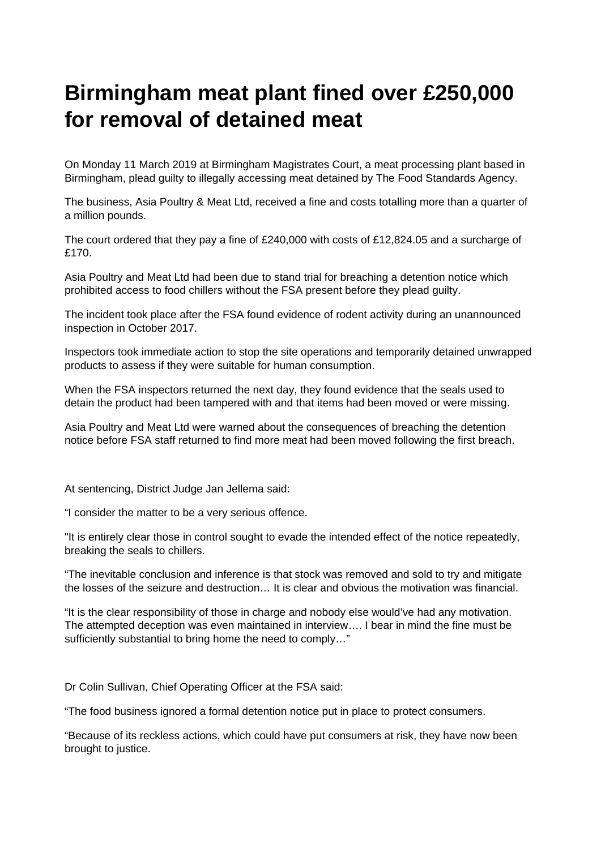## **Birmingham meat plant fined over £250,000 for removal of detained meat**

On Monday 11 March 2019 at Birmingham Magistrates Court, a meat processing plant based in Birmingham, plead guilty to illegally accessing meat detained by The Food Standards Agency.

The business, Asia Poultry & Meat Ltd, received a fine and costs totalling more than a quarter of a million pounds.

The court ordered that they pay a fine of £240,000 with costs of £12,824.05 and a surcharge of £170.

Asia Poultry and Meat Ltd had been due to stand trial for breaching a detention notice which prohibited access to food chillers without the FSA present before they plead guilty.

The incident took place after the FSA found evidence of rodent activity during an unannounced inspection in October 2017.

Inspectors took immediate action to stop the site operations and temporarily detained unwrapped products to assess if they were suitable for human consumption.

When the FSA inspectors returned the next day, they found evidence that the seals used to detain the product had been tampered with and that items had been moved or were missing.

Asia Poultry and Meat Ltd were warned about the consequences of breaching the detention notice before FSA staff returned to find more meat had been moved following the first breach.

At sentencing, District Judge Jan Jellema said:

"I consider the matter to be a very serious offence.

"It is entirely clear those in control sought to evade the intended effect of the notice repeatedly, breaking the seals to chillers.

"The inevitable conclusion and inference is that stock was removed and sold to try and mitigate the losses of the seizure and destruction… It is clear and obvious the motivation was financial.

"It is the clear responsibility of those in charge and nobody else would've had any motivation. The attempted deception was even maintained in interview…. I bear in mind the fine must be sufficiently substantial to bring home the need to comply…"

Dr Colin Sullivan, Chief Operating Officer at the FSA said:

"The food business ignored a formal detention notice put in place to protect consumers.

"Because of its reckless actions, which could have put consumers at risk, they have now been brought to justice.